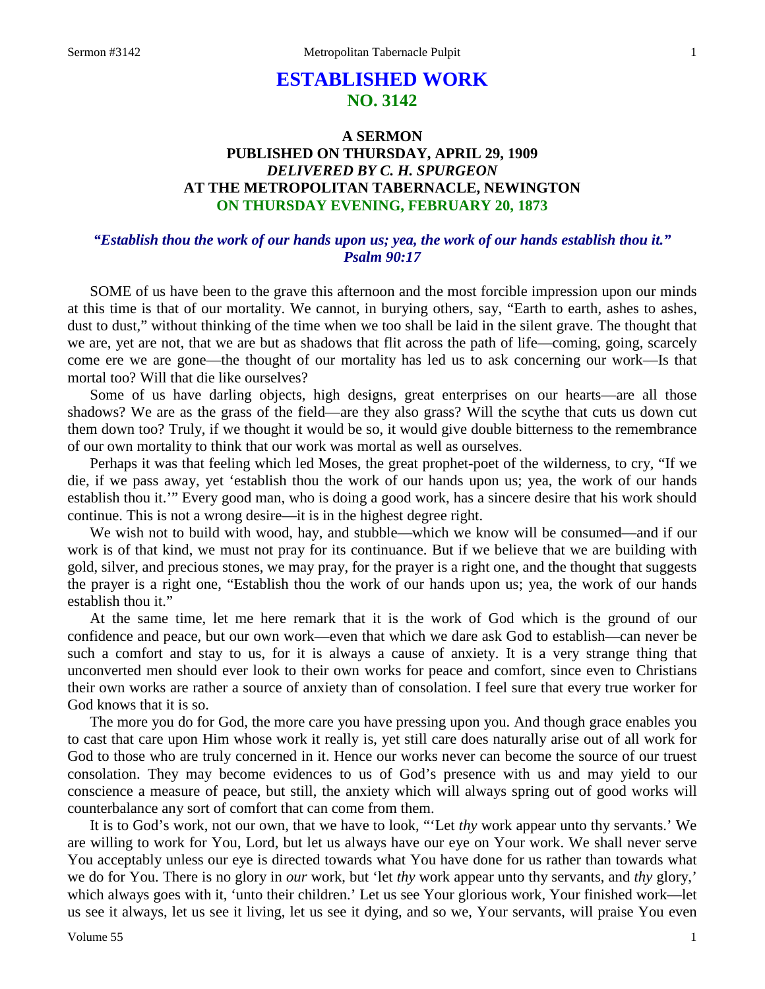# **ESTABLISHED WORK NO. 3142**

## **A SERMON PUBLISHED ON THURSDAY, APRIL 29, 1909** *DELIVERED BY C. H. SPURGEON* **AT THE METROPOLITAN TABERNACLE, NEWINGTON ON THURSDAY EVENING, FEBRUARY 20, 1873**

## *"Establish thou the work of our hands upon us; yea, the work of our hands establish thou it." Psalm 90:17*

SOME of us have been to the grave this afternoon and the most forcible impression upon our minds at this time is that of our mortality. We cannot, in burying others, say, "Earth to earth, ashes to ashes, dust to dust," without thinking of the time when we too shall be laid in the silent grave. The thought that we are, yet are not, that we are but as shadows that flit across the path of life—coming, going, scarcely come ere we are gone—the thought of our mortality has led us to ask concerning our work—Is that mortal too? Will that die like ourselves?

Some of us have darling objects, high designs, great enterprises on our hearts—are all those shadows? We are as the grass of the field—are they also grass? Will the scythe that cuts us down cut them down too? Truly, if we thought it would be so, it would give double bitterness to the remembrance of our own mortality to think that our work was mortal as well as ourselves.

Perhaps it was that feeling which led Moses, the great prophet-poet of the wilderness, to cry, "If we die, if we pass away, yet 'establish thou the work of our hands upon us; yea, the work of our hands establish thou it.'" Every good man, who is doing a good work, has a sincere desire that his work should continue. This is not a wrong desire—it is in the highest degree right.

We wish not to build with wood, hay, and stubble—which we know will be consumed—and if our work is of that kind, we must not pray for its continuance. But if we believe that we are building with gold, silver, and precious stones, we may pray, for the prayer is a right one, and the thought that suggests the prayer is a right one, "Establish thou the work of our hands upon us; yea, the work of our hands establish thou it."

At the same time, let me here remark that it is the work of God which is the ground of our confidence and peace, but our own work—even that which we dare ask God to establish—can never be such a comfort and stay to us, for it is always a cause of anxiety. It is a very strange thing that unconverted men should ever look to their own works for peace and comfort, since even to Christians their own works are rather a source of anxiety than of consolation. I feel sure that every true worker for God knows that it is so.

The more you do for God, the more care you have pressing upon you. And though grace enables you to cast that care upon Him whose work it really is, yet still care does naturally arise out of all work for God to those who are truly concerned in it. Hence our works never can become the source of our truest consolation. They may become evidences to us of God's presence with us and may yield to our conscience a measure of peace, but still, the anxiety which will always spring out of good works will counterbalance any sort of comfort that can come from them.

It is to God's work, not our own, that we have to look, "'Let *thy* work appear unto thy servants.' We are willing to work for You, Lord, but let us always have our eye on Your work. We shall never serve You acceptably unless our eye is directed towards what You have done for us rather than towards what we do for You. There is no glory in *our* work, but 'let *thy* work appear unto thy servants, and *thy* glory,' which always goes with it, 'unto their children.' Let us see Your glorious work, Your finished work—let us see it always, let us see it living, let us see it dying, and so we, Your servants, will praise You even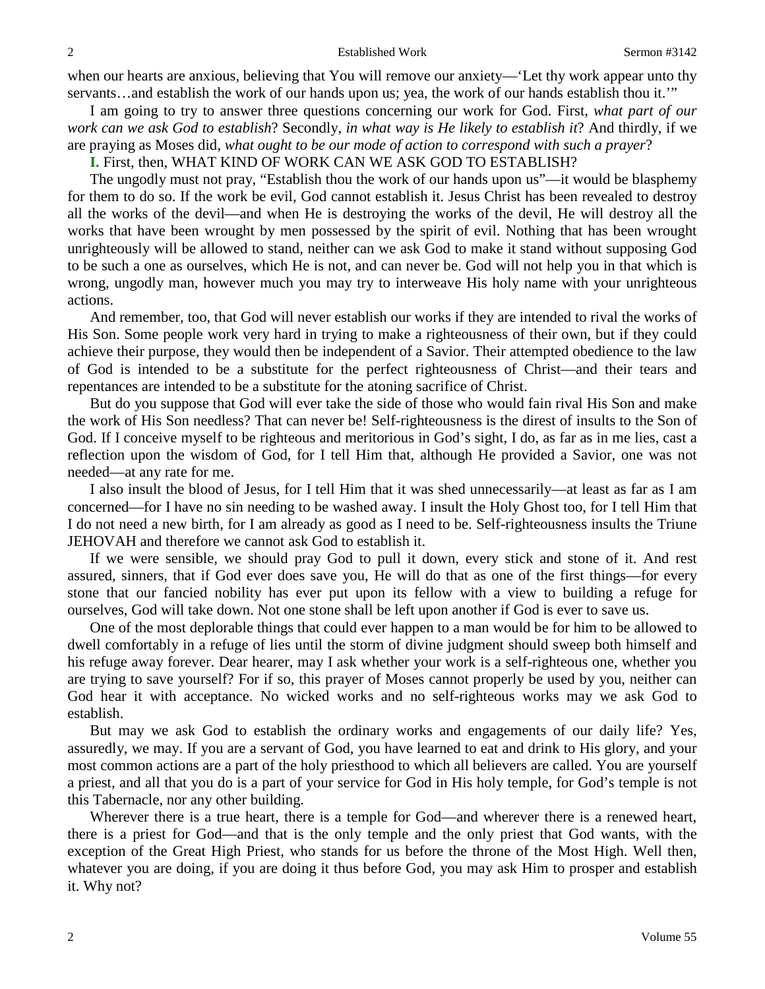when our hearts are anxious, believing that You will remove our anxiety—'Let thy work appear unto thy servants…and establish the work of our hands upon us; yea, the work of our hands establish thou it.'"

I am going to try to answer three questions concerning our work for God. First, *what part of our work can we ask God to establish*? Secondly, *in what way is He likely to establish it*? And thirdly, if we are praying as Moses did, *what ought to be our mode of action to correspond with such a prayer*?

**I.** First, then, WHAT KIND OF WORK CAN WE ASK GOD TO ESTABLISH?

The ungodly must not pray, "Establish thou the work of our hands upon us"—it would be blasphemy for them to do so. If the work be evil, God cannot establish it. Jesus Christ has been revealed to destroy all the works of the devil—and when He is destroying the works of the devil, He will destroy all the works that have been wrought by men possessed by the spirit of evil. Nothing that has been wrought unrighteously will be allowed to stand, neither can we ask God to make it stand without supposing God to be such a one as ourselves, which He is not, and can never be. God will not help you in that which is wrong, ungodly man, however much you may try to interweave His holy name with your unrighteous actions.

And remember, too, that God will never establish our works if they are intended to rival the works of His Son. Some people work very hard in trying to make a righteousness of their own, but if they could achieve their purpose, they would then be independent of a Savior. Their attempted obedience to the law of God is intended to be a substitute for the perfect righteousness of Christ—and their tears and repentances are intended to be a substitute for the atoning sacrifice of Christ.

But do you suppose that God will ever take the side of those who would fain rival His Son and make the work of His Son needless? That can never be! Self-righteousness is the direst of insults to the Son of God. If I conceive myself to be righteous and meritorious in God's sight, I do, as far as in me lies, cast a reflection upon the wisdom of God, for I tell Him that, although He provided a Savior, one was not needed—at any rate for me.

I also insult the blood of Jesus, for I tell Him that it was shed unnecessarily—at least as far as I am concerned—for I have no sin needing to be washed away. I insult the Holy Ghost too, for I tell Him that I do not need a new birth, for I am already as good as I need to be. Self-righteousness insults the Triune JEHOVAH and therefore we cannot ask God to establish it.

If we were sensible, we should pray God to pull it down, every stick and stone of it. And rest assured, sinners, that if God ever does save you, He will do that as one of the first things—for every stone that our fancied nobility has ever put upon its fellow with a view to building a refuge for ourselves, God will take down. Not one stone shall be left upon another if God is ever to save us.

One of the most deplorable things that could ever happen to a man would be for him to be allowed to dwell comfortably in a refuge of lies until the storm of divine judgment should sweep both himself and his refuge away forever. Dear hearer, may I ask whether your work is a self-righteous one, whether you are trying to save yourself? For if so, this prayer of Moses cannot properly be used by you, neither can God hear it with acceptance. No wicked works and no self-righteous works may we ask God to establish.

But may we ask God to establish the ordinary works and engagements of our daily life? Yes, assuredly, we may. If you are a servant of God, you have learned to eat and drink to His glory, and your most common actions are a part of the holy priesthood to which all believers are called. You are yourself a priest, and all that you do is a part of your service for God in His holy temple, for God's temple is not this Tabernacle, nor any other building.

Wherever there is a true heart, there is a temple for God—and wherever there is a renewed heart, there is a priest for God—and that is the only temple and the only priest that God wants, with the exception of the Great High Priest, who stands for us before the throne of the Most High. Well then, whatever you are doing, if you are doing it thus before God, you may ask Him to prosper and establish it. Why not?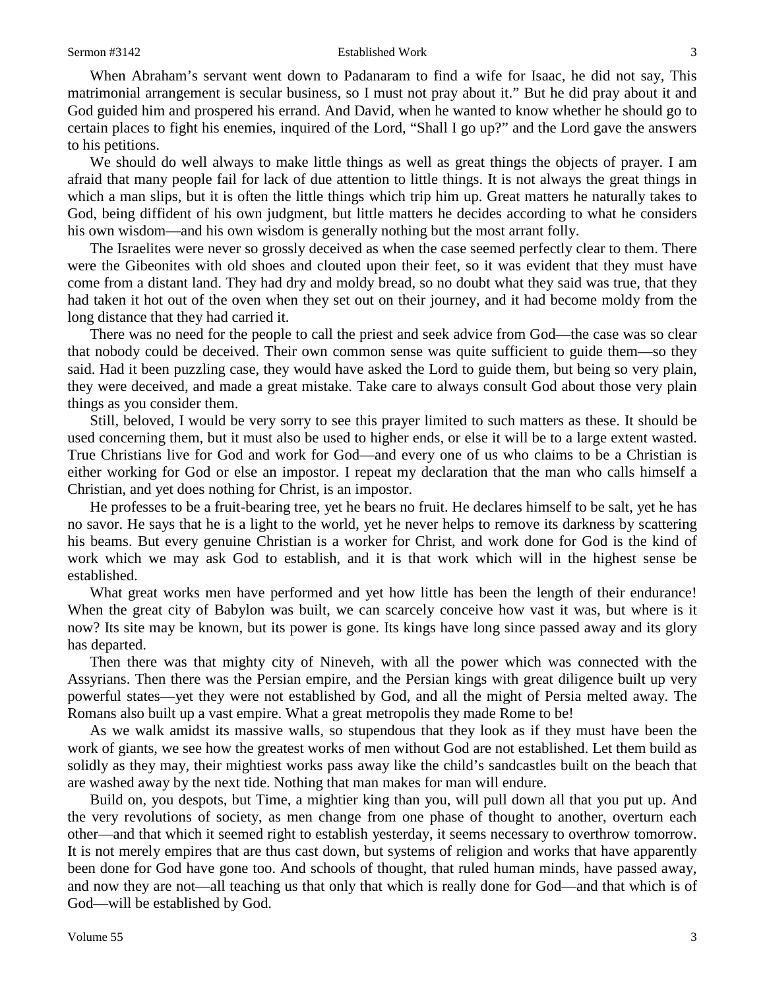#### Sermon #3142 **Established Work** 3

When Abraham's servant went down to Padanaram to find a wife for Isaac, he did not say, This matrimonial arrangement is secular business, so I must not pray about it." But he did pray about it and God guided him and prospered his errand. And David, when he wanted to know whether he should go to certain places to fight his enemies, inquired of the Lord, "Shall I go up?" and the Lord gave the answers to his petitions.

We should do well always to make little things as well as great things the objects of prayer. I am afraid that many people fail for lack of due attention to little things. It is not always the great things in which a man slips, but it is often the little things which trip him up. Great matters he naturally takes to God, being diffident of his own judgment, but little matters he decides according to what he considers his own wisdom—and his own wisdom is generally nothing but the most arrant folly.

The Israelites were never so grossly deceived as when the case seemed perfectly clear to them. There were the Gibeonites with old shoes and clouted upon their feet, so it was evident that they must have come from a distant land. They had dry and moldy bread, so no doubt what they said was true, that they had taken it hot out of the oven when they set out on their journey, and it had become moldy from the long distance that they had carried it.

There was no need for the people to call the priest and seek advice from God—the case was so clear that nobody could be deceived. Their own common sense was quite sufficient to guide them—so they said. Had it been puzzling case, they would have asked the Lord to guide them, but being so very plain, they were deceived, and made a great mistake. Take care to always consult God about those very plain things as you consider them.

Still, beloved, I would be very sorry to see this prayer limited to such matters as these. It should be used concerning them, but it must also be used to higher ends, or else it will be to a large extent wasted. True Christians live for God and work for God—and every one of us who claims to be a Christian is either working for God or else an impostor. I repeat my declaration that the man who calls himself a Christian, and yet does nothing for Christ, is an impostor.

He professes to be a fruit-bearing tree, yet he bears no fruit. He declares himself to be salt, yet he has no savor. He says that he is a light to the world, yet he never helps to remove its darkness by scattering his beams. But every genuine Christian is a worker for Christ, and work done for God is the kind of work which we may ask God to establish, and it is that work which will in the highest sense be established.

What great works men have performed and yet how little has been the length of their endurance! When the great city of Babylon was built, we can scarcely conceive how vast it was, but where is it now? Its site may be known, but its power is gone. Its kings have long since passed away and its glory has departed.

Then there was that mighty city of Nineveh, with all the power which was connected with the Assyrians. Then there was the Persian empire, and the Persian kings with great diligence built up very powerful states—yet they were not established by God, and all the might of Persia melted away. The Romans also built up a vast empire. What a great metropolis they made Rome to be!

As we walk amidst its massive walls, so stupendous that they look as if they must have been the work of giants, we see how the greatest works of men without God are not established. Let them build as solidly as they may, their mightiest works pass away like the child's sandcastles built on the beach that are washed away by the next tide. Nothing that man makes for man will endure.

Build on, you despots, but Time, a mightier king than you, will pull down all that you put up. And the very revolutions of society, as men change from one phase of thought to another, overturn each other—and that which it seemed right to establish yesterday, it seems necessary to overthrow tomorrow. It is not merely empires that are thus cast down, but systems of religion and works that have apparently been done for God have gone too. And schools of thought, that ruled human minds, have passed away, and now they are not—all teaching us that only that which is really done for God—and that which is of God—will be established by God.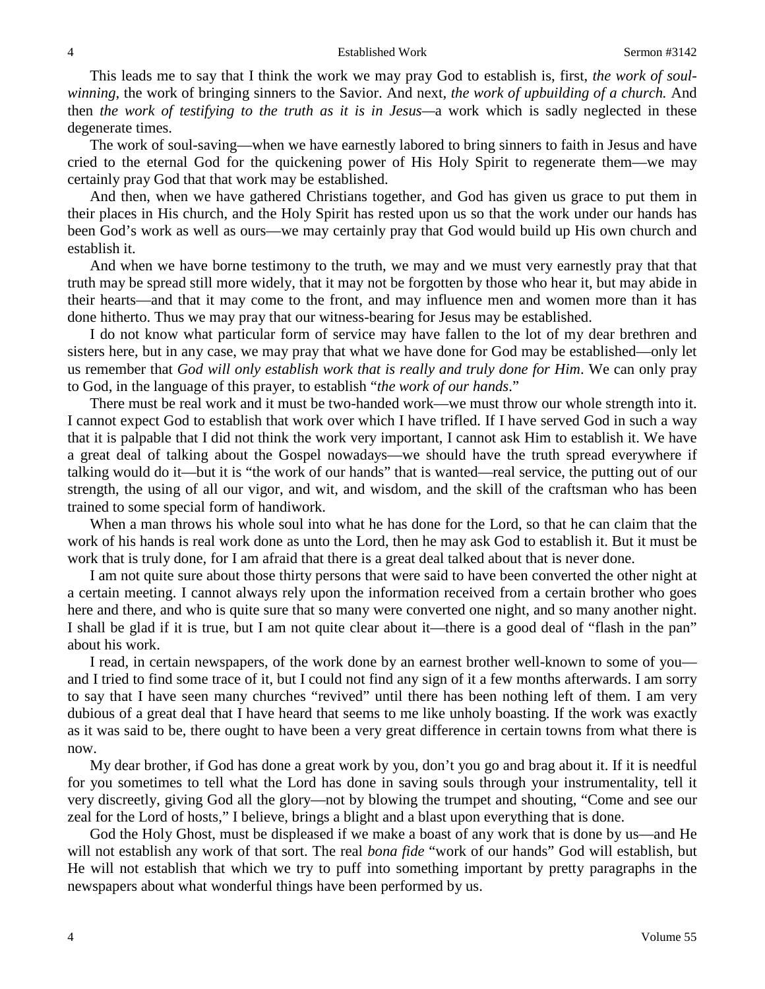This leads me to say that I think the work we may pray God to establish is, first, *the work of soulwinning*, the work of bringing sinners to the Savior. And next, *the work of upbuilding of a church.* And then *the work of testifying to the truth as it is in Jesus—*a work which is sadly neglected in these degenerate times.

The work of soul-saving—when we have earnestly labored to bring sinners to faith in Jesus and have cried to the eternal God for the quickening power of His Holy Spirit to regenerate them—we may certainly pray God that that work may be established.

And then, when we have gathered Christians together, and God has given us grace to put them in their places in His church, and the Holy Spirit has rested upon us so that the work under our hands has been God's work as well as ours—we may certainly pray that God would build up His own church and establish it.

And when we have borne testimony to the truth, we may and we must very earnestly pray that that truth may be spread still more widely, that it may not be forgotten by those who hear it, but may abide in their hearts—and that it may come to the front, and may influence men and women more than it has done hitherto. Thus we may pray that our witness-bearing for Jesus may be established.

I do not know what particular form of service may have fallen to the lot of my dear brethren and sisters here, but in any case, we may pray that what we have done for God may be established—only let us remember that *God will only establish work that is really and truly done for Him*. We can only pray to God, in the language of this prayer, to establish "*the work of our hands*."

There must be real work and it must be two-handed work—we must throw our whole strength into it. I cannot expect God to establish that work over which I have trifled. If I have served God in such a way that it is palpable that I did not think the work very important, I cannot ask Him to establish it. We have a great deal of talking about the Gospel nowadays—we should have the truth spread everywhere if talking would do it—but it is "the work of our hands" that is wanted—real service, the putting out of our strength, the using of all our vigor, and wit, and wisdom, and the skill of the craftsman who has been trained to some special form of handiwork.

When a man throws his whole soul into what he has done for the Lord, so that he can claim that the work of his hands is real work done as unto the Lord, then he may ask God to establish it. But it must be work that is truly done, for I am afraid that there is a great deal talked about that is never done.

I am not quite sure about those thirty persons that were said to have been converted the other night at a certain meeting. I cannot always rely upon the information received from a certain brother who goes here and there, and who is quite sure that so many were converted one night, and so many another night. I shall be glad if it is true, but I am not quite clear about it—there is a good deal of "flash in the pan" about his work.

I read, in certain newspapers, of the work done by an earnest brother well-known to some of you and I tried to find some trace of it, but I could not find any sign of it a few months afterwards. I am sorry to say that I have seen many churches "revived" until there has been nothing left of them. I am very dubious of a great deal that I have heard that seems to me like unholy boasting. If the work was exactly as it was said to be, there ought to have been a very great difference in certain towns from what there is now.

My dear brother, if God has done a great work by you, don't you go and brag about it. If it is needful for you sometimes to tell what the Lord has done in saving souls through your instrumentality, tell it very discreetly, giving God all the glory—not by blowing the trumpet and shouting, "Come and see our zeal for the Lord of hosts," I believe, brings a blight and a blast upon everything that is done.

God the Holy Ghost, must be displeased if we make a boast of any work that is done by us—and He will not establish any work of that sort. The real *bona fide* "work of our hands" God will establish, but He will not establish that which we try to puff into something important by pretty paragraphs in the newspapers about what wonderful things have been performed by us.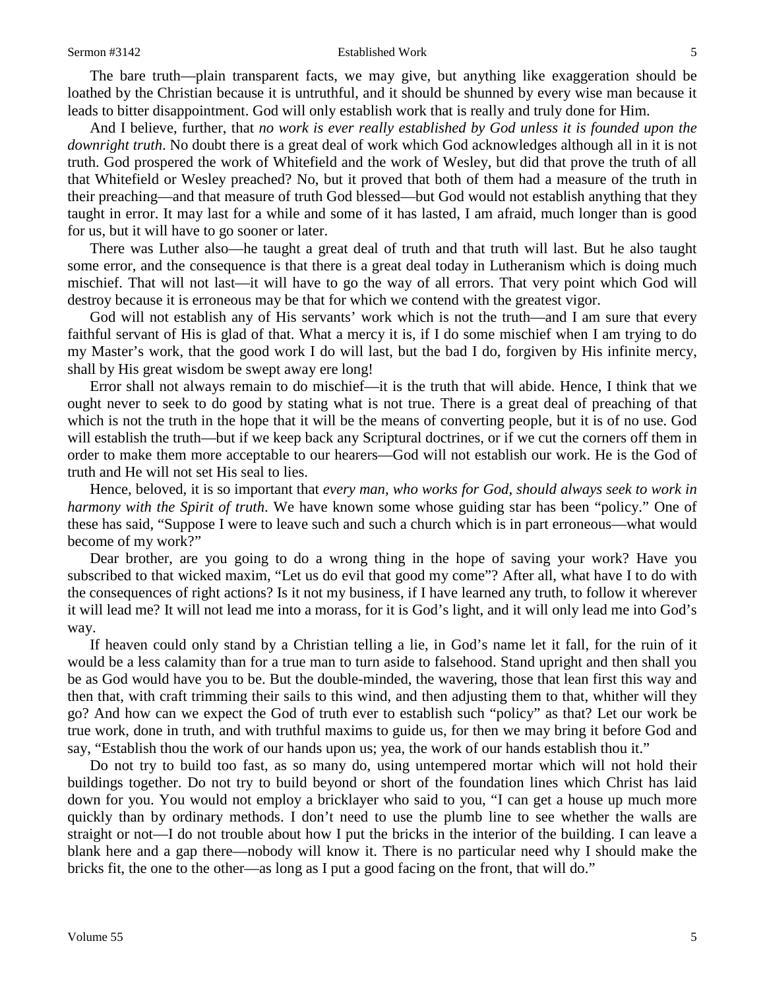#### Sermon #3142 **Established Work 5**

The bare truth—plain transparent facts, we may give, but anything like exaggeration should be loathed by the Christian because it is untruthful, and it should be shunned by every wise man because it leads to bitter disappointment. God will only establish work that is really and truly done for Him.

And I believe, further, that *no work is ever really established by God unless it is founded upon the downright truth*. No doubt there is a great deal of work which God acknowledges although all in it is not truth. God prospered the work of Whitefield and the work of Wesley, but did that prove the truth of all that Whitefield or Wesley preached? No, but it proved that both of them had a measure of the truth in their preaching—and that measure of truth God blessed—but God would not establish anything that they taught in error. It may last for a while and some of it has lasted, I am afraid, much longer than is good for us, but it will have to go sooner or later.

There was Luther also—he taught a great deal of truth and that truth will last. But he also taught some error, and the consequence is that there is a great deal today in Lutheranism which is doing much mischief. That will not last—it will have to go the way of all errors. That very point which God will destroy because it is erroneous may be that for which we contend with the greatest vigor.

God will not establish any of His servants' work which is not the truth—and I am sure that every faithful servant of His is glad of that. What a mercy it is, if I do some mischief when I am trying to do my Master's work, that the good work I do will last, but the bad I do, forgiven by His infinite mercy, shall by His great wisdom be swept away ere long!

Error shall not always remain to do mischief—it is the truth that will abide. Hence, I think that we ought never to seek to do good by stating what is not true. There is a great deal of preaching of that which is not the truth in the hope that it will be the means of converting people, but it is of no use. God will establish the truth—but if we keep back any Scriptural doctrines, or if we cut the corners off them in order to make them more acceptable to our hearers—God will not establish our work. He is the God of truth and He will not set His seal to lies.

Hence, beloved, it is so important that *every man, who works for God, should always seek to work in harmony with the Spirit of truth*. We have known some whose guiding star has been "policy." One of these has said, "Suppose I were to leave such and such a church which is in part erroneous—what would become of my work?"

Dear brother, are you going to do a wrong thing in the hope of saving your work? Have you subscribed to that wicked maxim, "Let us do evil that good my come"? After all, what have I to do with the consequences of right actions? Is it not my business, if I have learned any truth, to follow it wherever it will lead me? It will not lead me into a morass, for it is God's light, and it will only lead me into God's way.

If heaven could only stand by a Christian telling a lie, in God's name let it fall, for the ruin of it would be a less calamity than for a true man to turn aside to falsehood. Stand upright and then shall you be as God would have you to be. But the double-minded, the wavering, those that lean first this way and then that, with craft trimming their sails to this wind, and then adjusting them to that, whither will they go? And how can we expect the God of truth ever to establish such "policy" as that? Let our work be true work, done in truth, and with truthful maxims to guide us, for then we may bring it before God and say, "Establish thou the work of our hands upon us; yea, the work of our hands establish thou it."

Do not try to build too fast, as so many do, using untempered mortar which will not hold their buildings together. Do not try to build beyond or short of the foundation lines which Christ has laid down for you. You would not employ a bricklayer who said to you, "I can get a house up much more quickly than by ordinary methods. I don't need to use the plumb line to see whether the walls are straight or not—I do not trouble about how I put the bricks in the interior of the building. I can leave a blank here and a gap there—nobody will know it. There is no particular need why I should make the bricks fit, the one to the other—as long as I put a good facing on the front, that will do."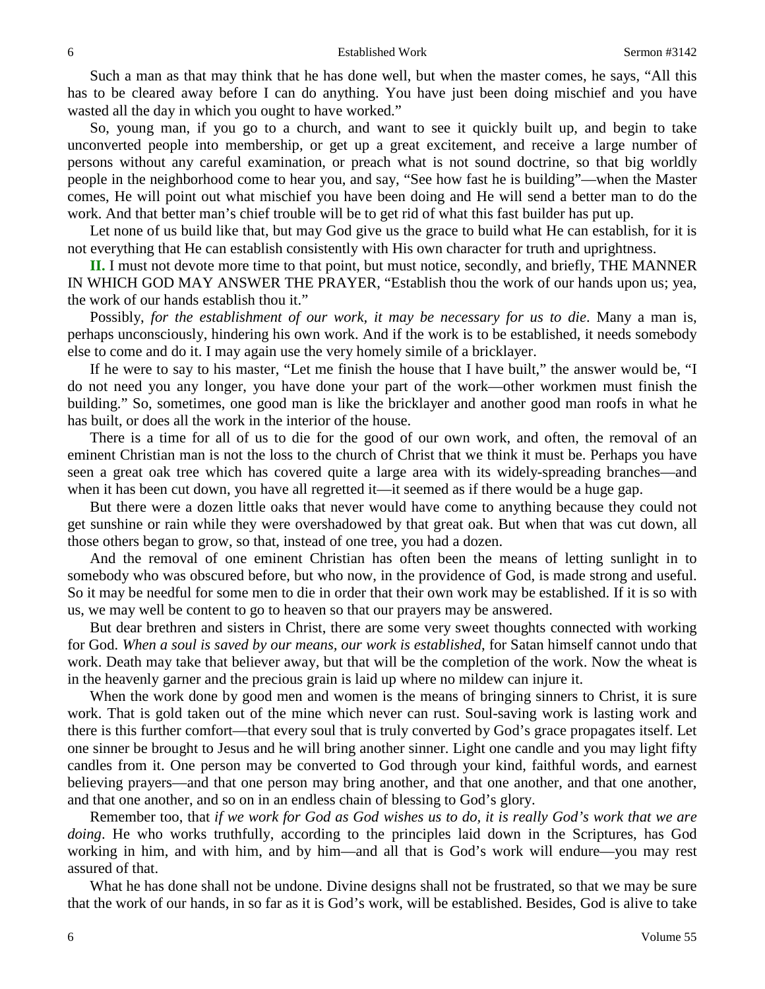Such a man as that may think that he has done well, but when the master comes, he says, "All this has to be cleared away before I can do anything. You have just been doing mischief and you have wasted all the day in which you ought to have worked."

So, young man, if you go to a church, and want to see it quickly built up, and begin to take unconverted people into membership, or get up a great excitement, and receive a large number of persons without any careful examination, or preach what is not sound doctrine, so that big worldly people in the neighborhood come to hear you, and say, "See how fast he is building"—when the Master comes, He will point out what mischief you have been doing and He will send a better man to do the work. And that better man's chief trouble will be to get rid of what this fast builder has put up.

Let none of us build like that, but may God give us the grace to build what He can establish, for it is not everything that He can establish consistently with His own character for truth and uprightness.

**II.** I must not devote more time to that point, but must notice, secondly, and briefly, THE MANNER IN WHICH GOD MAY ANSWER THE PRAYER, "Establish thou the work of our hands upon us; yea, the work of our hands establish thou it."

Possibly, *for the establishment of our work, it may be necessary for us to die*. Many a man is, perhaps unconsciously, hindering his own work. And if the work is to be established, it needs somebody else to come and do it. I may again use the very homely simile of a bricklayer.

If he were to say to his master, "Let me finish the house that I have built," the answer would be, "I do not need you any longer, you have done your part of the work—other workmen must finish the building." So, sometimes, one good man is like the bricklayer and another good man roofs in what he has built, or does all the work in the interior of the house.

There is a time for all of us to die for the good of our own work, and often, the removal of an eminent Christian man is not the loss to the church of Christ that we think it must be. Perhaps you have seen a great oak tree which has covered quite a large area with its widely-spreading branches—and when it has been cut down, you have all regretted it—it seemed as if there would be a huge gap.

But there were a dozen little oaks that never would have come to anything because they could not get sunshine or rain while they were overshadowed by that great oak. But when that was cut down, all those others began to grow, so that, instead of one tree, you had a dozen.

And the removal of one eminent Christian has often been the means of letting sunlight in to somebody who was obscured before, but who now, in the providence of God, is made strong and useful. So it may be needful for some men to die in order that their own work may be established. If it is so with us, we may well be content to go to heaven so that our prayers may be answered.

But dear brethren and sisters in Christ, there are some very sweet thoughts connected with working for God. *When a soul is saved by our means, our work is established*, for Satan himself cannot undo that work. Death may take that believer away, but that will be the completion of the work. Now the wheat is in the heavenly garner and the precious grain is laid up where no mildew can injure it.

When the work done by good men and women is the means of bringing sinners to Christ, it is sure work. That is gold taken out of the mine which never can rust. Soul-saving work is lasting work and there is this further comfort—that every soul that is truly converted by God's grace propagates itself. Let one sinner be brought to Jesus and he will bring another sinner. Light one candle and you may light fifty candles from it. One person may be converted to God through your kind, faithful words, and earnest believing prayers—and that one person may bring another, and that one another, and that one another, and that one another, and so on in an endless chain of blessing to God's glory.

Remember too, that *if we work for God as God wishes us to do, it is really God's work that we are doing*. He who works truthfully, according to the principles laid down in the Scriptures, has God working in him, and with him, and by him—and all that is God's work will endure—you may rest assured of that.

What he has done shall not be undone. Divine designs shall not be frustrated, so that we may be sure that the work of our hands, in so far as it is God's work, will be established. Besides, God is alive to take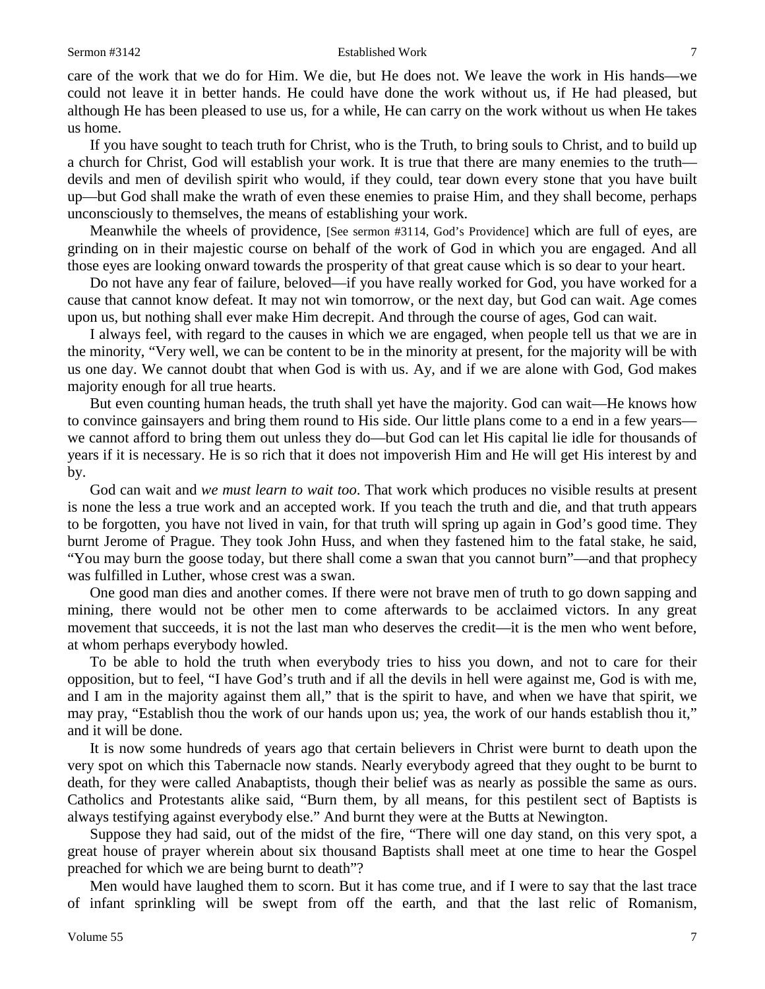#### Sermon #3142 **Established Work** 7

care of the work that we do for Him. We die, but He does not. We leave the work in His hands—we could not leave it in better hands. He could have done the work without us, if He had pleased, but although He has been pleased to use us, for a while, He can carry on the work without us when He takes us home.

If you have sought to teach truth for Christ, who is the Truth, to bring souls to Christ, and to build up a church for Christ, God will establish your work. It is true that there are many enemies to the truth devils and men of devilish spirit who would, if they could, tear down every stone that you have built up—but God shall make the wrath of even these enemies to praise Him, and they shall become, perhaps unconsciously to themselves, the means of establishing your work.

Meanwhile the wheels of providence, [See sermon #3114, God's Providence] which are full of eyes, are grinding on in their majestic course on behalf of the work of God in which you are engaged. And all those eyes are looking onward towards the prosperity of that great cause which is so dear to your heart.

Do not have any fear of failure, beloved—if you have really worked for God, you have worked for a cause that cannot know defeat. It may not win tomorrow, or the next day, but God can wait. Age comes upon us, but nothing shall ever make Him decrepit. And through the course of ages, God can wait.

I always feel, with regard to the causes in which we are engaged, when people tell us that we are in the minority, "Very well, we can be content to be in the minority at present, for the majority will be with us one day. We cannot doubt that when God is with us. Ay, and if we are alone with God, God makes majority enough for all true hearts.

But even counting human heads, the truth shall yet have the majority. God can wait—He knows how to convince gainsayers and bring them round to His side. Our little plans come to a end in a few years we cannot afford to bring them out unless they do—but God can let His capital lie idle for thousands of years if it is necessary. He is so rich that it does not impoverish Him and He will get His interest by and by.

God can wait and *we must learn to wait too*. That work which produces no visible results at present is none the less a true work and an accepted work. If you teach the truth and die, and that truth appears to be forgotten, you have not lived in vain, for that truth will spring up again in God's good time. They burnt Jerome of Prague. They took John Huss, and when they fastened him to the fatal stake, he said, "You may burn the goose today, but there shall come a swan that you cannot burn"—and that prophecy was fulfilled in Luther, whose crest was a swan.

One good man dies and another comes. If there were not brave men of truth to go down sapping and mining, there would not be other men to come afterwards to be acclaimed victors. In any great movement that succeeds, it is not the last man who deserves the credit—it is the men who went before, at whom perhaps everybody howled.

To be able to hold the truth when everybody tries to hiss you down, and not to care for their opposition, but to feel, "I have God's truth and if all the devils in hell were against me, God is with me, and I am in the majority against them all," that is the spirit to have, and when we have that spirit, we may pray, "Establish thou the work of our hands upon us; yea, the work of our hands establish thou it," and it will be done.

It is now some hundreds of years ago that certain believers in Christ were burnt to death upon the very spot on which this Tabernacle now stands. Nearly everybody agreed that they ought to be burnt to death, for they were called Anabaptists, though their belief was as nearly as possible the same as ours. Catholics and Protestants alike said, "Burn them, by all means, for this pestilent sect of Baptists is always testifying against everybody else." And burnt they were at the Butts at Newington.

Suppose they had said, out of the midst of the fire, "There will one day stand, on this very spot, a great house of prayer wherein about six thousand Baptists shall meet at one time to hear the Gospel preached for which we are being burnt to death"?

Men would have laughed them to scorn. But it has come true, and if I were to say that the last trace of infant sprinkling will be swept from off the earth, and that the last relic of Romanism,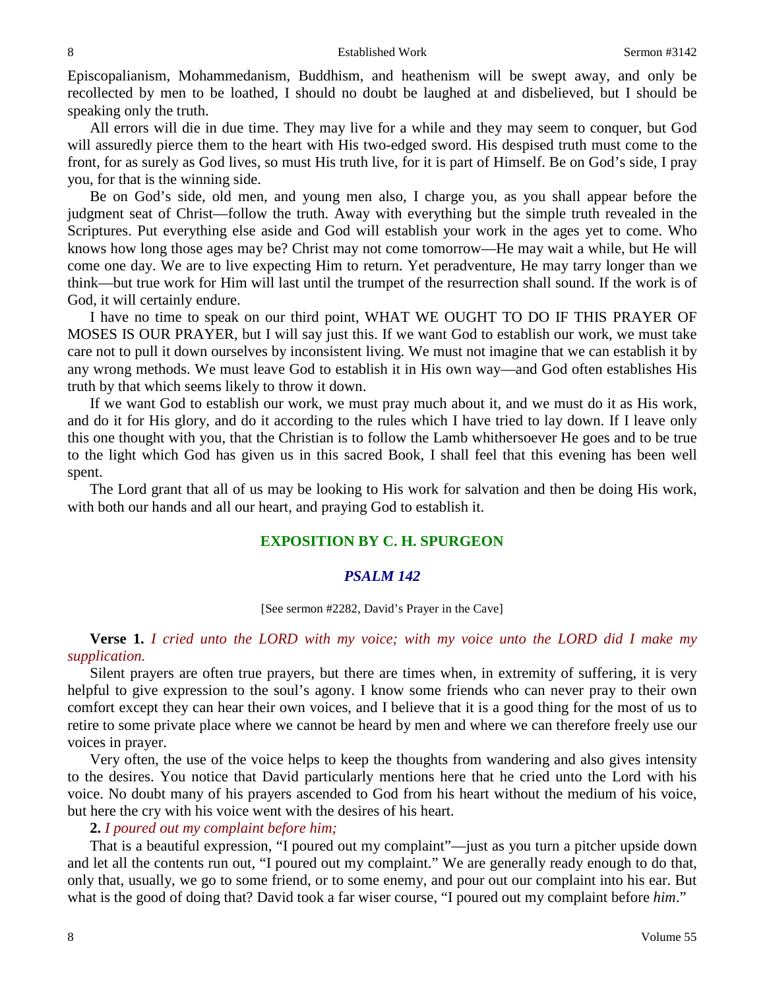Episcopalianism, Mohammedanism, Buddhism, and heathenism will be swept away, and only be recollected by men to be loathed, I should no doubt be laughed at and disbelieved, but I should be speaking only the truth.

All errors will die in due time. They may live for a while and they may seem to conquer, but God will assuredly pierce them to the heart with His two-edged sword. His despised truth must come to the front, for as surely as God lives, so must His truth live, for it is part of Himself. Be on God's side, I pray you, for that is the winning side.

Be on God's side, old men, and young men also, I charge you, as you shall appear before the judgment seat of Christ—follow the truth. Away with everything but the simple truth revealed in the Scriptures. Put everything else aside and God will establish your work in the ages yet to come. Who knows how long those ages may be? Christ may not come tomorrow—He may wait a while, but He will come one day. We are to live expecting Him to return. Yet peradventure, He may tarry longer than we think—but true work for Him will last until the trumpet of the resurrection shall sound. If the work is of God, it will certainly endure.

I have no time to speak on our third point, WHAT WE OUGHT TO DO IF THIS PRAYER OF MOSES IS OUR PRAYER, but I will say just this. If we want God to establish our work, we must take care not to pull it down ourselves by inconsistent living. We must not imagine that we can establish it by any wrong methods. We must leave God to establish it in His own way—and God often establishes His truth by that which seems likely to throw it down.

If we want God to establish our work, we must pray much about it, and we must do it as His work, and do it for His glory, and do it according to the rules which I have tried to lay down. If I leave only this one thought with you, that the Christian is to follow the Lamb whithersoever He goes and to be true to the light which God has given us in this sacred Book, I shall feel that this evening has been well spent.

The Lord grant that all of us may be looking to His work for salvation and then be doing His work, with both our hands and all our heart, and praying God to establish it.

## **EXPOSITION BY C. H. SPURGEON**

### *PSALM 142*

#### [See sermon #2282, David's Prayer in the Cave]

## **Verse 1.** *I cried unto the LORD with my voice; with my voice unto the LORD did I make my supplication.*

Silent prayers are often true prayers, but there are times when, in extremity of suffering, it is very helpful to give expression to the soul's agony. I know some friends who can never pray to their own comfort except they can hear their own voices, and I believe that it is a good thing for the most of us to retire to some private place where we cannot be heard by men and where we can therefore freely use our voices in prayer.

Very often, the use of the voice helps to keep the thoughts from wandering and also gives intensity to the desires. You notice that David particularly mentions here that he cried unto the Lord with his voice. No doubt many of his prayers ascended to God from his heart without the medium of his voice, but here the cry with his voice went with the desires of his heart.

#### **2.** *I poured out my complaint before him;*

That is a beautiful expression, "I poured out my complaint"—just as you turn a pitcher upside down and let all the contents run out, "I poured out my complaint." We are generally ready enough to do that, only that, usually, we go to some friend, or to some enemy, and pour out our complaint into his ear. But what is the good of doing that? David took a far wiser course, "I poured out my complaint before *him*."